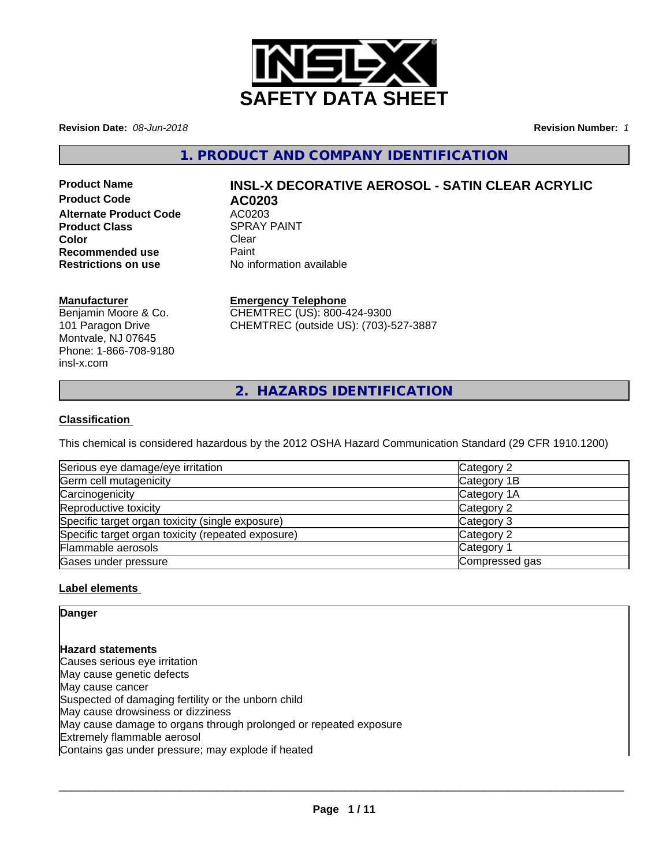

**Revision Date:** *08-Jun-2018* **Revision Number:** *1*

**1. PRODUCT AND COMPANY IDENTIFICATION**

**Product Code AC0203 Alternate Product Code AC0203**<br>**Product Class Act ACOVER ACT ARE SPRAY PAINT Product Class Color** Clear Clear **Recommended use** Paint<br> **Restrictions on use** No inf

# **Product Name INSL-X DECORATIVE AEROSOL - SATIN CLEAR ACRYLIC**

**No information available** 

## **Manufacturer**

Benjamin Moore & Co. 101 Paragon Drive Montvale, NJ 07645 Phone: 1-866-708-9180 insl-x.com

**Emergency Telephone**

CHEMTREC (US): 800-424-9300 CHEMTREC (outside US): (703)-527-3887

**2. HAZARDS IDENTIFICATION**

## **Classification**

This chemical is considered hazardous by the 2012 OSHA Hazard Communication Standard (29 CFR 1910.1200)

| Serious eye damage/eye irritation                  | Category 2     |
|----------------------------------------------------|----------------|
| Germ cell mutagenicity                             | Category 1B    |
| Carcinogenicity                                    | Category 1A    |
| Reproductive toxicity                              | Category 2     |
| Specific target organ toxicity (single exposure)   | Category 3     |
| Specific target organ toxicity (repeated exposure) | Category 2     |
| Flammable aerosols                                 | Category 1     |
| Gases under pressure                               | Compressed gas |

## **Label elements**

**Danger**

**Hazard statements** Causes serious eye irritation May cause genetic defects May cause cancer Suspected of damaging fertility or the unborn child May cause drowsiness or dizziness May cause damage to organs through prolonged or repeated exposure Extremely flammable aerosol Contains gas under pressure; may explode if heated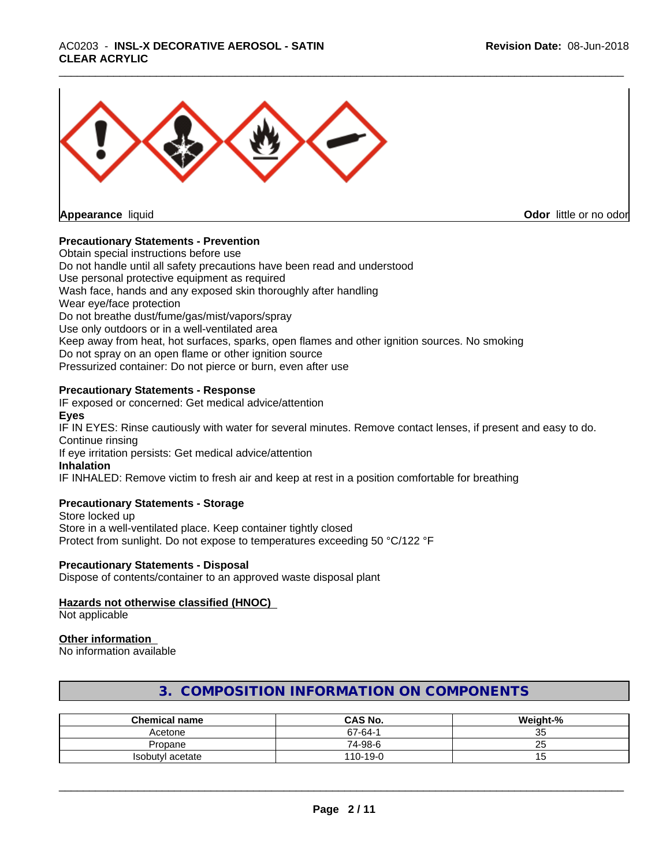# \_\_\_\_\_\_\_\_\_\_\_\_\_\_\_\_\_\_\_\_\_\_\_\_\_\_\_\_\_\_\_\_\_\_\_\_\_\_\_\_\_\_\_\_\_\_\_\_\_\_\_\_\_\_\_\_\_\_\_\_\_\_\_\_\_\_\_\_\_\_\_\_\_\_\_\_\_\_\_\_\_\_\_\_\_\_\_\_\_\_\_\_\_ AC0203 - **INSL-X DECORATIVE AEROSOL - SATIN CLEAR ACRYLIC**



**Odor** little or no odor

## **Precautionary Statements - Prevention**

Obtain special instructions before use Do not handle until all safety precautions have been read and understood Use personal protective equipment as required Wash face, hands and any exposed skin thoroughly after handling Wear eye/face protection Do not breathe dust/fume/gas/mist/vapors/spray Use only outdoors or in a well-ventilated area Keep away from heat, hot surfaces, sparks, open flames and other ignition sources. No smoking Do not spray on an open flame or other ignition source Pressurized container: Do not pierce or burn, even after use

## **Precautionary Statements - Response**

IF exposed or concerned: Get medical advice/attention **Eyes** IF IN EYES: Rinse cautiously with water for several minutes. Remove contact lenses, if present and easy to do. Continue rinsing If eye irritation persists: Get medical advice/attention **Inhalation** IF INHALED: Remove victim to fresh air and keep at rest in a position comfortable for breathing

## **Precautionary Statements - Storage**

Store locked up Store in a well-ventilated place. Keep container tightly closed Protect from sunlight. Do not expose to temperatures exceeding 50 °C/122 °F

## **Precautionary Statements - Disposal**

Dispose of contents/container to an approved waste disposal plant

## **Hazards not otherwise classified (HNOC)**

Not applicable

## **Other information**

No information available

## **3. COMPOSITION INFORMATION ON COMPONENTS**

| <b>Chemical name</b> | <b>CAS No.</b> | Weight-%         |
|----------------------|----------------|------------------|
| Acetone              | $67 - 64 -$    | $\sim$ $-$<br>ູບ |
| Propane              | 74-98-6        | --<br>∠∪         |
| Isobutyl acetate     | 110-19-0       | שו               |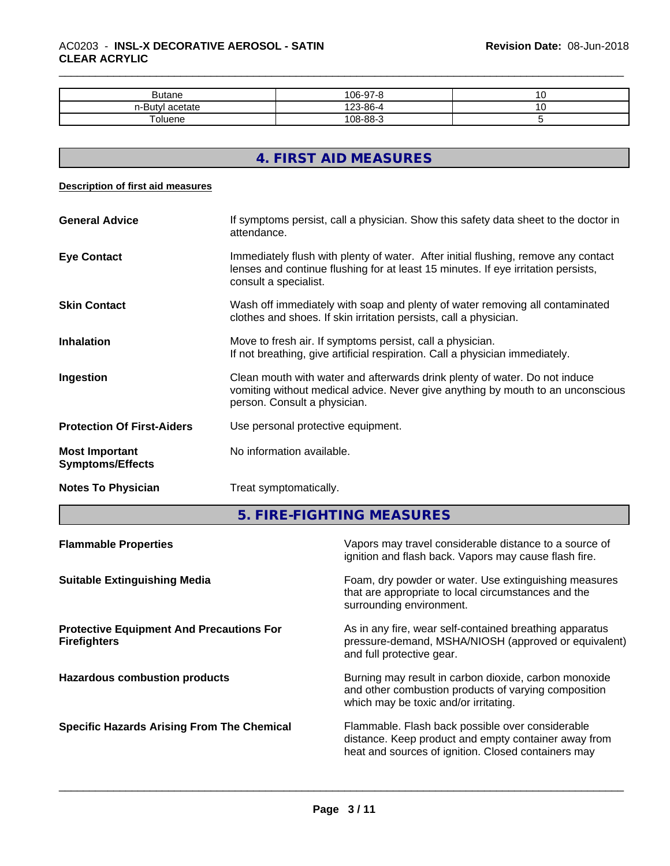| <b>Butane</b>   | 106-97-8 |  |
|-----------------|----------|--|
| n-Bu⊾<br>сетате | 4-86-∆∠. |  |
| וחפווור         | 108-88-3 |  |

## **4. FIRST AID MEASURES**

#### **Description of first aid measures**

| <b>General Advice</b>                            | If symptoms persist, call a physician. Show this safety data sheet to the doctor in<br>attendance.                                                                                               |  |
|--------------------------------------------------|--------------------------------------------------------------------------------------------------------------------------------------------------------------------------------------------------|--|
| <b>Eye Contact</b>                               | Immediately flush with plenty of water. After initial flushing, remove any contact<br>lenses and continue flushing for at least 15 minutes. If eye irritation persists,<br>consult a specialist. |  |
| <b>Skin Contact</b>                              | Wash off immediately with soap and plenty of water removing all contaminated<br>clothes and shoes. If skin irritation persists, call a physician.                                                |  |
| <b>Inhalation</b>                                | Move to fresh air. If symptoms persist, call a physician.<br>If not breathing, give artificial respiration. Call a physician immediately.                                                        |  |
| Ingestion                                        | Clean mouth with water and afterwards drink plenty of water. Do not induce<br>vomiting without medical advice. Never give anything by mouth to an unconscious<br>person. Consult a physician.    |  |
| <b>Protection Of First-Aiders</b>                | Use personal protective equipment.                                                                                                                                                               |  |
| <b>Most Important</b><br><b>Symptoms/Effects</b> | No information available.                                                                                                                                                                        |  |
| <b>Notes To Physician</b>                        | Treat symptomatically.                                                                                                                                                                           |  |

**5. FIRE-FIGHTING MEASURES**

| <b>Flammable Properties</b>                                            | Vapors may travel considerable distance to a source of<br>ignition and flash back. Vapors may cause flash fire.                                                 |
|------------------------------------------------------------------------|-----------------------------------------------------------------------------------------------------------------------------------------------------------------|
| <b>Suitable Extinguishing Media</b>                                    | Foam, dry powder or water. Use extinguishing measures<br>that are appropriate to local circumstances and the<br>surrounding environment.                        |
| <b>Protective Equipment And Precautions For</b><br><b>Firefighters</b> | As in any fire, wear self-contained breathing apparatus<br>pressure-demand, MSHA/NIOSH (approved or equivalent)<br>and full protective gear.                    |
| <b>Hazardous combustion products</b>                                   | Burning may result in carbon dioxide, carbon monoxide<br>and other combustion products of varying composition<br>which may be toxic and/or irritating.          |
| <b>Specific Hazards Arising From The Chemical</b>                      | Flammable. Flash back possible over considerable<br>distance. Keep product and empty container away from<br>heat and sources of ignition. Closed containers may |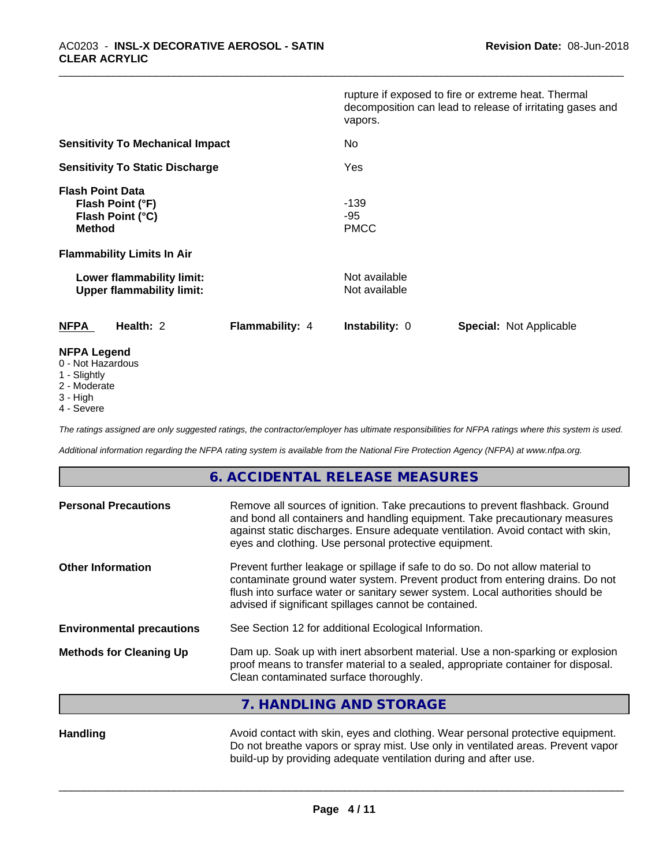|                                                                                   |  |                 | vapors.                        | rupture if exposed to fire or extreme heat. Thermal<br>decomposition can lead to release of irritating gases and |
|-----------------------------------------------------------------------------------|--|-----------------|--------------------------------|------------------------------------------------------------------------------------------------------------------|
| <b>Sensitivity To Mechanical Impact</b><br><b>Sensitivity To Static Discharge</b> |  |                 | No                             |                                                                                                                  |
|                                                                                   |  | Yes             |                                |                                                                                                                  |
| <b>Flash Point Data</b><br>Flash Point (°F)<br>Flash Point (°C)<br><b>Method</b>  |  |                 | $-139$<br>-95<br><b>PMCC</b>   |                                                                                                                  |
| <b>Flammability Limits In Air</b>                                                 |  |                 |                                |                                                                                                                  |
| Lower flammability limit:<br><b>Upper flammability limit:</b>                     |  |                 | Not available<br>Not available |                                                                                                                  |
| <b>NFPA</b><br>Health: 2                                                          |  | Flammability: 4 | <b>Instability: 0</b>          | <b>Special: Not Applicable</b>                                                                                   |
| <b>NFPA Legend</b><br>0 - Not Hazardous                                           |  |                 |                                |                                                                                                                  |

- 1 Slightly
- 2 Moderate
- 3 High
- 4 Severe

*The ratings assigned are only suggested ratings, the contractor/employer has ultimate responsibilities for NFPA ratings where this system is used.*

*Additional information regarding the NFPA rating system is available from the National Fire Protection Agency (NFPA) at www.nfpa.org.*

## **6. ACCIDENTAL RELEASE MEASURES**

| <b>Personal Precautions</b>                                                                                                                                                                                                                     | Remove all sources of ignition. Take precautions to prevent flashback. Ground<br>and bond all containers and handling equipment. Take precautionary measures<br>against static discharges. Ensure adequate ventilation. Avoid contact with skin,<br>eyes and clothing. Use personal protective equipment.  |  |
|-------------------------------------------------------------------------------------------------------------------------------------------------------------------------------------------------------------------------------------------------|------------------------------------------------------------------------------------------------------------------------------------------------------------------------------------------------------------------------------------------------------------------------------------------------------------|--|
| <b>Other Information</b>                                                                                                                                                                                                                        | Prevent further leakage or spillage if safe to do so. Do not allow material to<br>contaminate ground water system. Prevent product from entering drains. Do not<br>flush into surface water or sanitary sewer system. Local authorities should be<br>advised if significant spillages cannot be contained. |  |
| <b>Environmental precautions</b>                                                                                                                                                                                                                | See Section 12 for additional Ecological Information.                                                                                                                                                                                                                                                      |  |
| Dam up. Soak up with inert absorbent material. Use a non-sparking or explosion<br><b>Methods for Cleaning Up</b><br>proof means to transfer material to a sealed, appropriate container for disposal.<br>Clean contaminated surface thoroughly. |                                                                                                                                                                                                                                                                                                            |  |
|                                                                                                                                                                                                                                                 |                                                                                                                                                                                                                                                                                                            |  |

**7. HANDLING AND STORAGE**

Handling **Handling** Avoid contact with skin, eyes and clothing. Wear personal protective equipment. Do not breathe vapors or spray mist. Use only in ventilated areas. Prevent vapor build-up by providing adequate ventilation during and after use.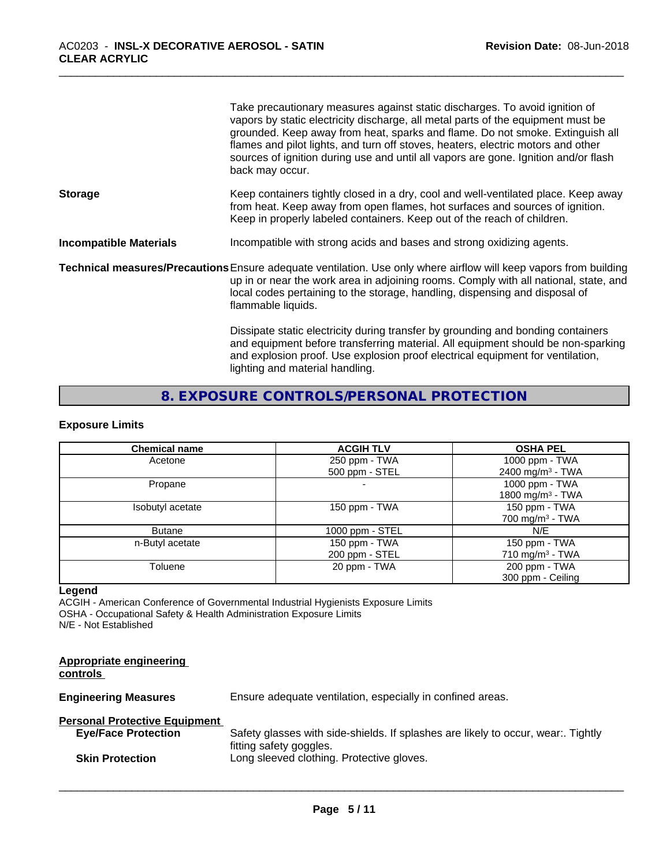|                               | Take precautionary measures against static discharges. To avoid ignition of<br>vapors by static electricity discharge, all metal parts of the equipment must be<br>grounded. Keep away from heat, sparks and flame. Do not smoke. Extinguish all<br>flames and pilot lights, and turn off stoves, heaters, electric motors and other<br>sources of ignition during use and until all vapors are gone. Ignition and/or flash<br>back may occur. |
|-------------------------------|------------------------------------------------------------------------------------------------------------------------------------------------------------------------------------------------------------------------------------------------------------------------------------------------------------------------------------------------------------------------------------------------------------------------------------------------|
| <b>Storage</b>                | Keep containers tightly closed in a dry, cool and well-ventilated place. Keep away<br>from heat. Keep away from open flames, hot surfaces and sources of ignition.<br>Keep in properly labeled containers. Keep out of the reach of children.                                                                                                                                                                                                  |
| <b>Incompatible Materials</b> | Incompatible with strong acids and bases and strong oxidizing agents.                                                                                                                                                                                                                                                                                                                                                                          |
|                               | Technical measures/Precautions Ensure adequate ventilation. Use only where airflow will keep vapors from building<br>up in or near the work area in adjoining rooms. Comply with all national, state, and<br>local codes pertaining to the storage, handling, dispensing and disposal of<br>flammable liquids.                                                                                                                                 |
|                               | Dissipate static electricity during transfer by grounding and bonding containers<br>and equipment before transferring material. All equipment should be non-sparking<br>and explosion proof. Use explosion proof electrical equipment for ventilation,<br>lighting and material handling.                                                                                                                                                      |

**8. EXPOSURE CONTROLS/PERSONAL PROTECTION**

## **Exposure Limits**

| <b>Chemical name</b> | <b>ACGIH TLV</b>  | <b>OSHA PEL</b>              |
|----------------------|-------------------|------------------------------|
| Acetone              | 250 ppm - TWA     | 1000 ppm - TWA               |
|                      | 500 ppm - STEL    | 2400 mg/m <sup>3</sup> - TWA |
| Propane              |                   | 1000 ppm - TWA               |
|                      |                   | 1800 mg/m <sup>3</sup> - TWA |
| Isobutyl acetate     | 150 ppm - TWA     | 150 ppm - TWA                |
|                      |                   | $700 \text{ mg/m}^3$ - TWA   |
| <b>Butane</b>        | 1000 ppm $-$ STEL | N/F                          |
| n-Butyl acetate      | 150 ppm - TWA     | 150 ppm - TWA                |
|                      | 200 ppm - STEL    | $710 \text{ mg/m}^3$ - TWA   |
| Toluene              | 20 ppm - TWA      | 200 ppm - TWA                |
|                      |                   | 300 ppm - Ceiling            |

## **Legend**

ACGIH - American Conference of Governmental Industrial Hygienists Exposure Limits OSHA - Occupational Safety & Health Administration Exposure Limits N/E - Not Established

| <b>Appropriate engineering</b><br>controls |                                                                                   |
|--------------------------------------------|-----------------------------------------------------------------------------------|
| <b>Engineering Measures</b>                | Ensure adequate ventilation, especially in confined areas.                        |
| <b>Personal Protective Equipment</b>       |                                                                                   |
| <b>Eye/Face Protection</b>                 | Safety glasses with side-shields. If splashes are likely to occur, wear:. Tightly |
| <b>Skin Protection</b>                     | fitting safety goggles.<br>Long sleeved clothing. Protective gloves.              |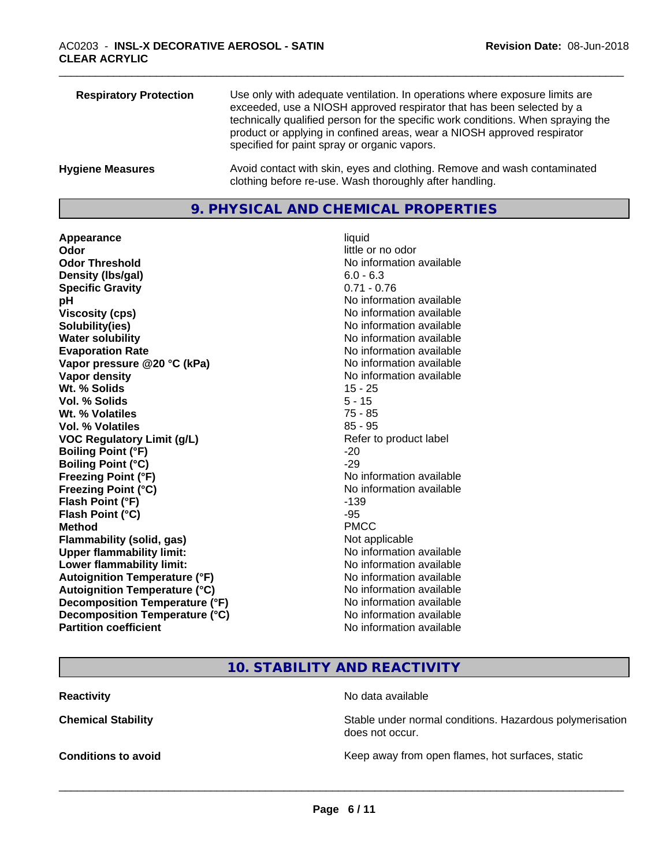| <b>Respiratory Protection</b> | Use only with adequate ventilation. In operations where exposure limits are<br>exceeded, use a NIOSH approved respirator that has been selected by a<br>technically qualified person for the specific work conditions. When spraying the<br>product or applying in confined areas, wear a NIOSH approved respirator<br>specified for paint spray or organic vapors. |
|-------------------------------|---------------------------------------------------------------------------------------------------------------------------------------------------------------------------------------------------------------------------------------------------------------------------------------------------------------------------------------------------------------------|
| <b>Hygiene Measures</b>       | Avoid contact with skin, eyes and clothing. Remove and wash contaminated<br>clothing before re-use. Wash thoroughly after handling.                                                                                                                                                                                                                                 |

## **9. PHYSICAL AND CHEMICAL PROPERTIES**

**Appearance** liquid **Odor** little or no odor **Odor Threshold No information available No information available Density (Ibs/gal)** 6.0 - 6.3<br> **Specific Gravity** 6.0 - 6.3 **Specific Gravity pH pH**  $\blacksquare$ **Viscosity (cps)** No information available **Solubility(ies)** No information available **Water solubility** No information available **Evaporation Rate No information available No information available Vapor pressure @20 °C (kPa)** No information available **Vapor density No information available No information available Wt.** % Solids 15 - 25 **Vol. % Solids** 5 - 15 **Wt. % Volatiles** 75 - 85 **Vol. % Volatiles** 85 - 95 **VOC Regulatory Limit (g/L)** Refer to product label **Boiling Point (°F)** -20<br> **Boiling Point (°C)** -29 **Boiling Point (°C) Freezing Point (°F)** No information available **Freezing Point (°C)** The Company of the Monometer of Noinformation available **Flash Point (°F)** -139 **Flash Point (°C)** -95 **Method** PMCC **Flammability (solid, gas)** Not applicable **Upper flammability limit:** No information available **Lower flammability limit:** No information available **Autoignition Temperature (°F)** No information available Autoignition Temperature (°C)<br>
Decomposition Temperature (°F)<br>
No information available **Decomposition Temperature (°F) Decomposition Temperature (°C)**<br> **Partition coefficient**<br> **Partition coefficient**<br> **No** information available

**No information available** 

## **10. STABILITY AND REACTIVITY**

| Reactivity                 | No data available                                                           |
|----------------------------|-----------------------------------------------------------------------------|
| <b>Chemical Stability</b>  | Stable under normal conditions. Hazardous polymerisation<br>does not occur. |
| <b>Conditions to avoid</b> | Keep away from open flames, hot surfaces, static                            |
|                            |                                                                             |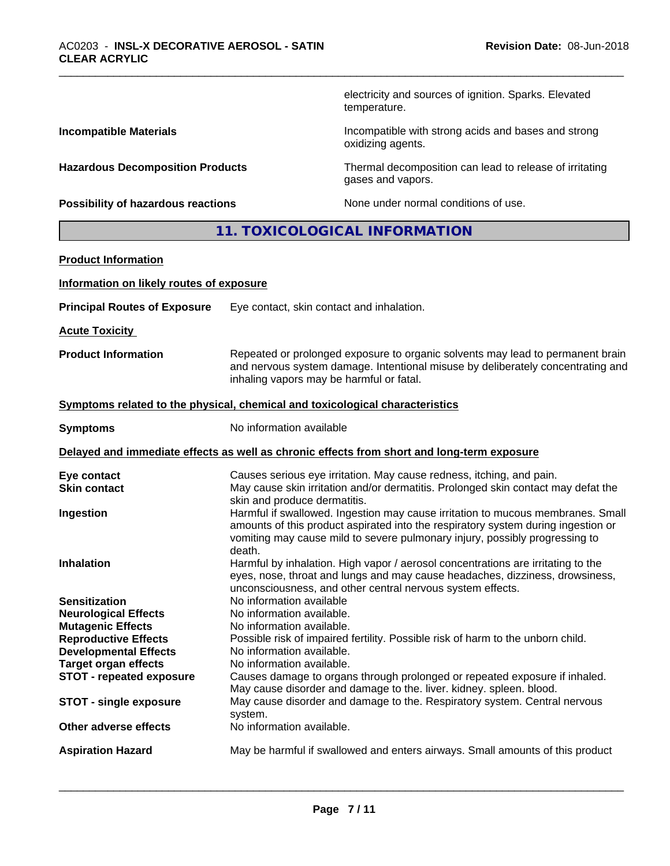electricity and sources of ignition. Sparks. Elevated temperature.

**Incompatible Materials Incompatible Materials Incompatible with strong acids and bases and strong** oxidizing agents.

**Hazardous Decomposition Products** Thermal decomposition can lead to release of irritating gases and vapors.

**Possibility of hazardous reactions** None under normal conditions of use.

# **11. TOXICOLOGICAL INFORMATION**

| <b>Product Information</b>                          |                                                                                                                                                                                                                                                               |
|-----------------------------------------------------|---------------------------------------------------------------------------------------------------------------------------------------------------------------------------------------------------------------------------------------------------------------|
| Information on likely routes of exposure            |                                                                                                                                                                                                                                                               |
| <b>Principal Routes of Exposure</b>                 | Eye contact, skin contact and inhalation.                                                                                                                                                                                                                     |
| <b>Acute Toxicity</b>                               |                                                                                                                                                                                                                                                               |
| <b>Product Information</b>                          | Repeated or prolonged exposure to organic solvents may lead to permanent brain<br>and nervous system damage. Intentional misuse by deliberately concentrating and<br>inhaling vapors may be harmful or fatal.                                                 |
|                                                     | Symptoms related to the physical, chemical and toxicological characteristics                                                                                                                                                                                  |
| <b>Symptoms</b>                                     | No information available                                                                                                                                                                                                                                      |
|                                                     | Delayed and immediate effects as well as chronic effects from short and long-term exposure                                                                                                                                                                    |
| Eye contact<br><b>Skin contact</b>                  | Causes serious eye irritation. May cause redness, itching, and pain.<br>May cause skin irritation and/or dermatitis. Prolonged skin contact may defat the<br>skin and produce dermatitis.                                                                     |
| Ingestion                                           | Harmful if swallowed. Ingestion may cause irritation to mucous membranes. Small<br>amounts of this product aspirated into the respiratory system during ingestion or<br>vomiting may cause mild to severe pulmonary injury, possibly progressing to<br>death. |
| <b>Inhalation</b>                                   | Harmful by inhalation. High vapor / aerosol concentrations are irritating to the<br>eyes, nose, throat and lungs and may cause headaches, dizziness, drowsiness,<br>unconsciousness, and other central nervous system effects.                                |
| <b>Sensitization</b><br><b>Neurological Effects</b> | No information available<br>No information available.                                                                                                                                                                                                         |
| <b>Mutagenic Effects</b>                            | No information available.                                                                                                                                                                                                                                     |
| <b>Reproductive Effects</b>                         | Possible risk of impaired fertility. Possible risk of harm to the unborn child.                                                                                                                                                                               |
| <b>Developmental Effects</b>                        | No information available.                                                                                                                                                                                                                                     |
| <b>Target organ effects</b>                         | No information available.                                                                                                                                                                                                                                     |
| <b>STOT - repeated exposure</b>                     | Causes damage to organs through prolonged or repeated exposure if inhaled.<br>May cause disorder and damage to the. liver. kidney. spleen. blood.                                                                                                             |
| <b>STOT - single exposure</b>                       | May cause disorder and damage to the. Respiratory system. Central nervous<br>system.                                                                                                                                                                          |
| Other adverse effects                               | No information available.                                                                                                                                                                                                                                     |
| <b>Aspiration Hazard</b>                            | May be harmful if swallowed and enters airways. Small amounts of this product                                                                                                                                                                                 |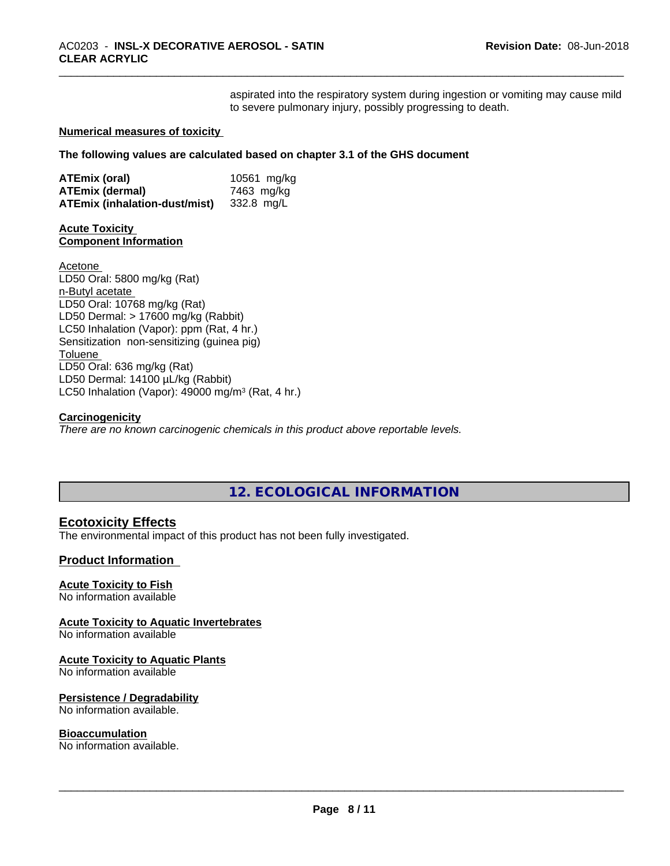aspirated into the respiratory system during ingestion or vomiting may cause mild to severe pulmonary injury, possibly progressing to death.

#### **Numerical measures of toxicity**

**The following values are calculated based on chapter 3.1 of the GHS document**

| ATEmix (oral)                 | 10561 mg/kg |
|-------------------------------|-------------|
| <b>ATEmix (dermal)</b>        | 7463 mg/kg  |
| ATEmix (inhalation-dust/mist) | 332.8 ma/L  |

## **Acute Toxicity Component Information**

Acetone LD50 Oral: 5800 mg/kg (Rat) n-Butyl acetate LD50 Oral: 10768 mg/kg (Rat) LD50 Dermal: > 17600 mg/kg (Rabbit) LC50 Inhalation (Vapor): ppm (Rat, 4 hr.) Sensitization non-sensitizing (guinea pig) Toluene LD50 Oral: 636 mg/kg (Rat) LD50 Dermal: 14100 µL/kg (Rabbit) LC50 Inhalation (Vapor): 49000 mg/m<sup>3</sup> (Rat, 4 hr.)

#### **Carcinogenicity**

*There are no known carcinogenic chemicals in this product above reportable levels.*

## **12. ECOLOGICAL INFORMATION**

## **Ecotoxicity Effects**

The environmental impact of this product has not been fully investigated.

## **Product Information**

## **Acute Toxicity to Fish**

No information available

## **Acute Toxicity to Aquatic Invertebrates**

No information available

## **Acute Toxicity to Aquatic Plants**

No information available

## **Persistence / Degradability**

No information available.

## **Bioaccumulation**

No information available.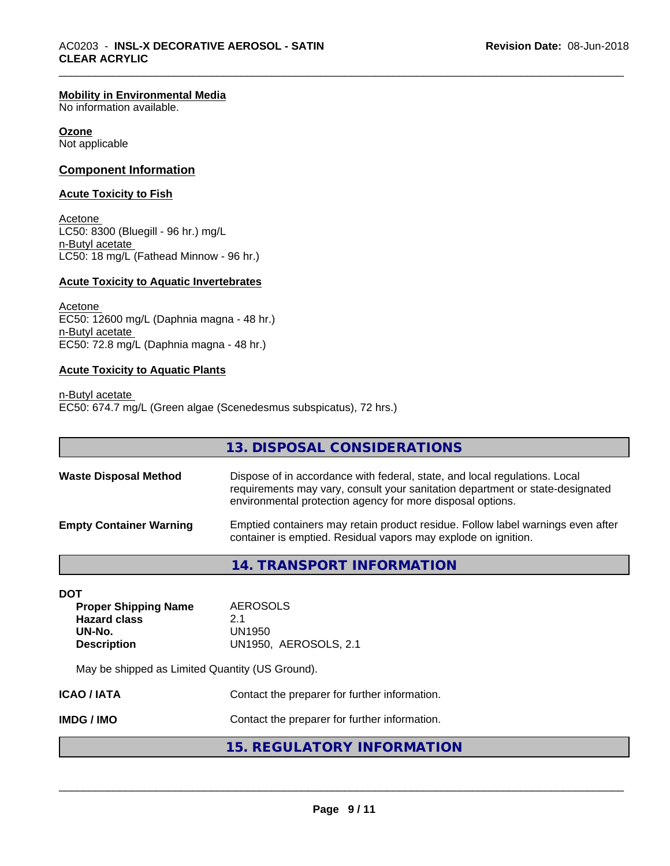#### **Mobility in Environmental Media**

No information available.

#### **Ozone**

Not applicable

## **Component Information**

#### **Acute Toxicity to Fish**

Acetone LC50: 8300 (Bluegill - 96 hr.) mg/L n-Butyl acetate LC50: 18 mg/L (Fathead Minnow - 96 hr.)

#### **Acute Toxicity to Aquatic Invertebrates**

Acetone EC50: 12600 mg/L (Daphnia magna - 48 hr.) n-Butyl acetate EC50: 72.8 mg/L (Daphnia magna - 48 hr.)

#### **Acute Toxicity to Aquatic Plants**

n-Butyl acetate EC50: 674.7 mg/L (Green algae (Scenedesmus subspicatus), 72 hrs.)

|                                | 13. DISPOSAL CONSIDERATIONS                                                                                                                                                                                               |
|--------------------------------|---------------------------------------------------------------------------------------------------------------------------------------------------------------------------------------------------------------------------|
| <b>Waste Disposal Method</b>   | Dispose of in accordance with federal, state, and local regulations. Local<br>requirements may vary, consult your sanitation department or state-designated<br>environmental protection agency for more disposal options. |
| <b>Empty Container Warning</b> | Emptied containers may retain product residue. Follow label warnings even after<br>container is emptied. Residual vapors may explode on ignition.                                                                         |
|                                |                                                                                                                                                                                                                           |

| 14. TRANSPORT INFORMATION |  |
|---------------------------|--|
|---------------------------|--|

| DOT                         |                              |
|-----------------------------|------------------------------|
| <b>Proper Shipping Name</b> | <b>AEROSOLS</b>              |
| <b>Hazard class</b>         | 21                           |
| UN-No.                      | UN1950                       |
| <b>Description</b>          | <b>UN1950, AEROSOLS, 2.1</b> |
|                             |                              |

May be shipped as Limited Quantity (US Ground).

| ICAO / IATA | Contact the preparer for further information. |
|-------------|-----------------------------------------------|
| IMDG / IMO  | Contact the preparer for further information. |

## **15. REGULATORY INFORMATION**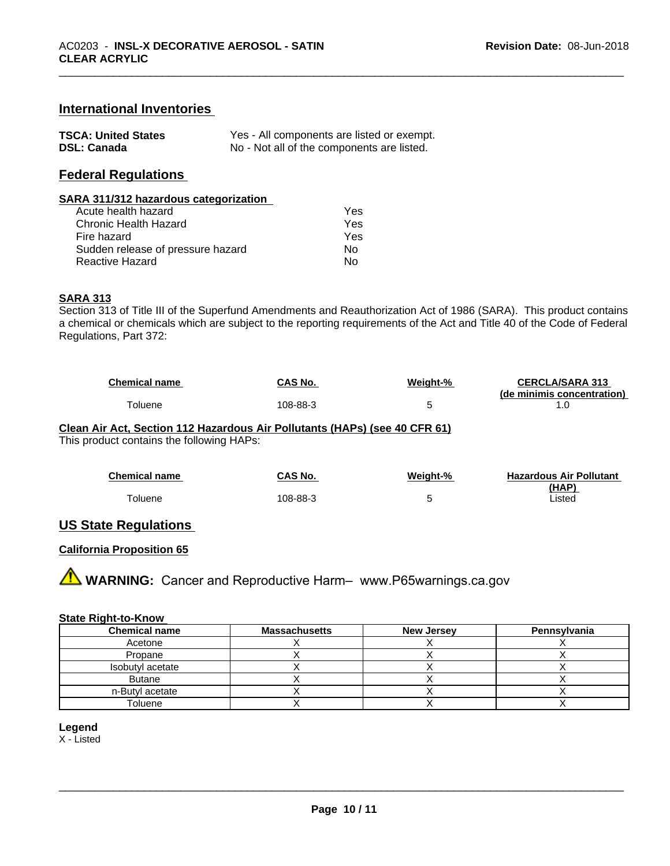## **International Inventories**

| <b>TSCA: United States</b> | Yes - All components are listed or exempt. |
|----------------------------|--------------------------------------------|
| <b>DSL: Canada</b>         | No - Not all of the components are listed. |

## **Federal Regulations**

#### **SARA 311/312 hazardous categorization**

| Acute health hazard               | Yes |  |
|-----------------------------------|-----|--|
| Chronic Health Hazard             | Yes |  |
| Fire hazard                       | Yes |  |
| Sudden release of pressure hazard | Nο  |  |
| Reactive Hazard                   | N٥  |  |

#### **SARA 313**

Section 313 of Title III of the Superfund Amendments and Reauthorization Act of 1986 (SARA). This product contains a chemical or chemicals which are subject to the reporting requirements of the Act and Title 40 of the Code of Federal Regulations, Part 372:

| <b>Chemical name</b> | CAS No.  | Weight-% | <b>CERCLA/SARA 313</b>     |
|----------------------|----------|----------|----------------------------|
|                      |          |          | (de minimis concentration) |
| oluene               | 108-88-3 |          |                            |

#### **Clean Air Act,Section 112 Hazardous Air Pollutants (HAPs) (see 40 CFR 61)**

This product contains the following HAPs:

| <b>Chemical name</b> | <b>CAS No.</b> | Weight-% | <b>Hazardous Air Pollutant</b> |
|----------------------|----------------|----------|--------------------------------|
|                      |                |          | (HAP)                          |
| ™oluene              | 108-88-3       |          | ∟isted                         |

## **US State Regulations**

## **California Proposition 65**

**A** WARNING: Cancer and Reproductive Harm– www.P65warnings.ca.gov

#### **State Right-to-Know**

| <b>Chemical name</b> | <b>Massachusetts</b> | <b>New Jersey</b> | Pennsylvania |
|----------------------|----------------------|-------------------|--------------|
| Acetone              |                      |                   |              |
| Propane              |                      |                   |              |
| Isobutyl acetate     |                      |                   |              |
| <b>Butane</b>        |                      |                   |              |
| n-Butyl acetate      |                      |                   |              |
| Toluene              |                      |                   |              |

#### **Legend**

X - Listed